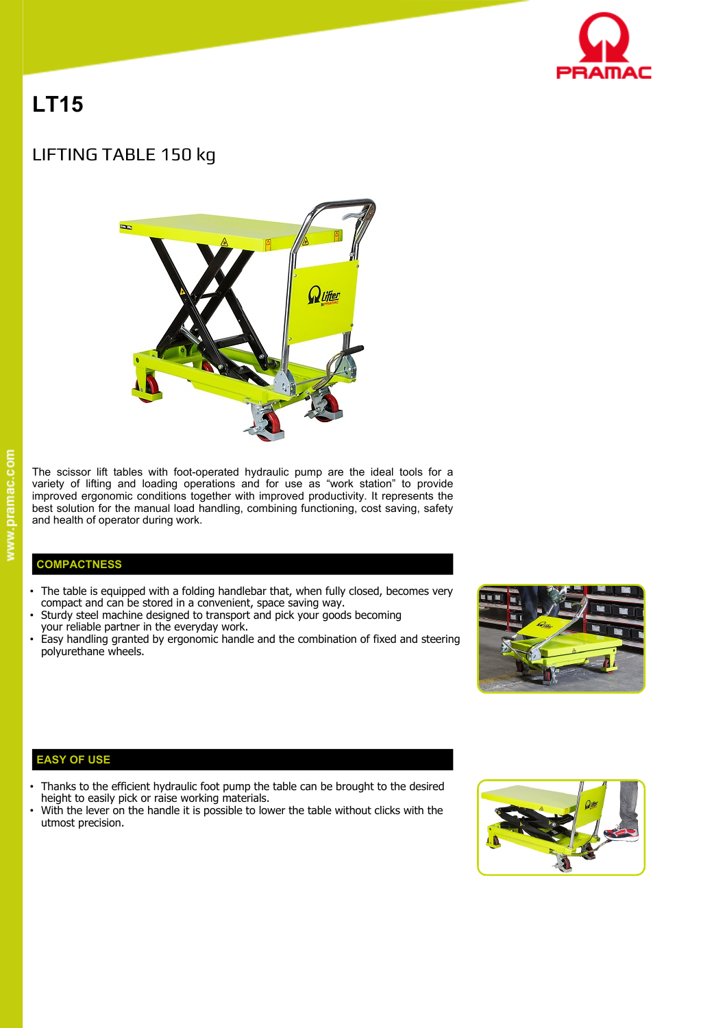

# **LT15**

# LIFTING TABLE 150 kg



The scissor lift tables with foot-operated hydraulic pump are the ideal tools for a variety of lifting and loading operations and for use as "work station" to provide improved ergonomic conditions together with improved productivity. It represents the best solution for the manual load handling, combining functioning, cost saving, safety and health of operator during work.

## **COMPACTNESS**

- The table is equipped with a folding handlebar that, when fully closed, becomes very compact and can be stored in a convenient, space saving way.
- Sturdy steel machine designed to transport and pick your goods becoming
- your reliable partner in the everyday work.
- Easy handling granted by ergonomic handle and the combination of fixed and steering polyurethane wheels.



#### **EASY OF USE**

- Thanks to the efficient hydraulic foot pump the table can be brought to the desired height to easily pick or raise working materials.
- With the lever on the handle it is possible to lower the table without clicks with the utmost precision.